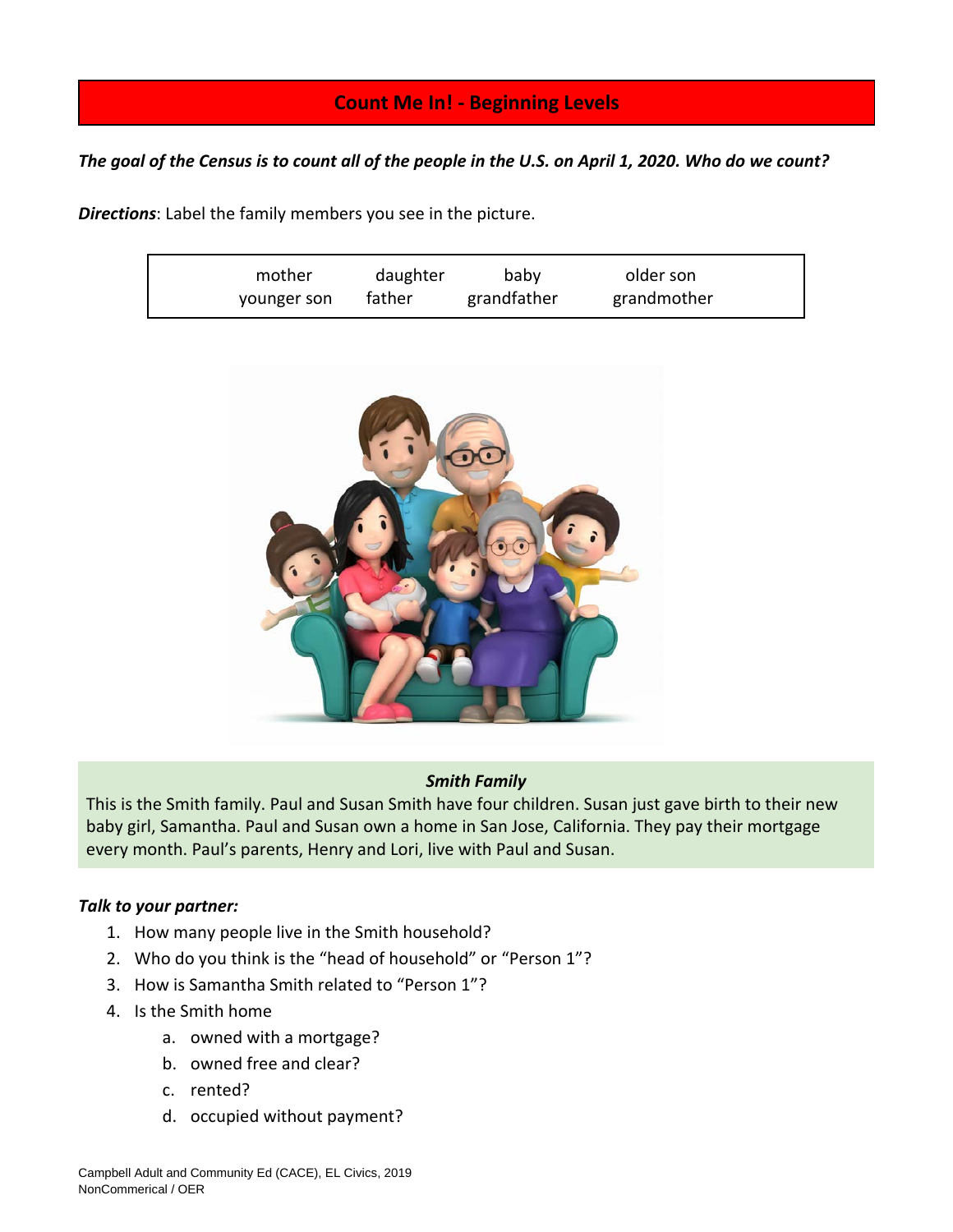# **Count Me In! - Beginning Levels**

*The goal of the Census is to count all of the people in the U.S. on April 1, 2020. Who do we count?*

*Directions*: Label the family members you see in the picture.

| mother      | daughter | baby        | older son   |
|-------------|----------|-------------|-------------|
| younger son | father   | grandfather | grandmother |



## *Smith Family*

This is the Smith family. Paul and Susan Smith have four children. Susan just gave birth to their new baby girl, Samantha. Paul and Susan own a home in San Jose, California. They pay their mortgage every month. Paul's parents, Henry and Lori, live with Paul and Susan.

## *Talk to your partner:*

- 1. How many people live in the Smith household?
- 2. Who do you think is the "head of household" or "Person 1"?
- 3. How is Samantha Smith related to "Person 1"?
- 4. Is the Smith home
	- a. owned with a mortgage?
	- b. owned free and clear?
	- c. rented?
	- d. occupied without payment?